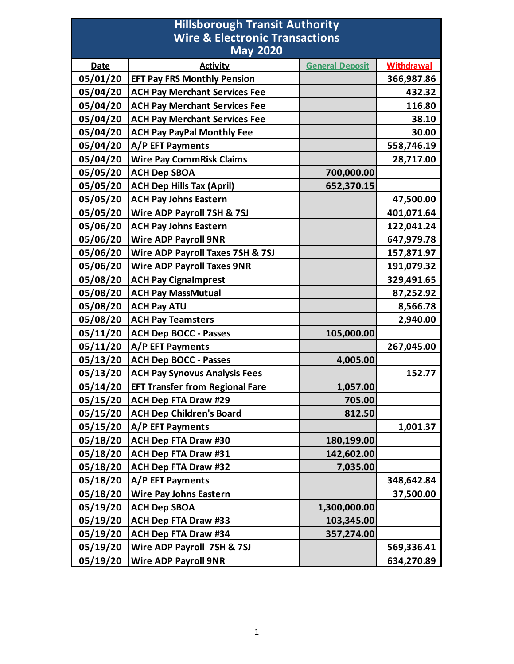## **Hillsborough Transit Authority Wire & Electronic Transactions May 2020**

| <b>May 2020</b> |                                        |                        |                   |
|-----------------|----------------------------------------|------------------------|-------------------|
| <b>Date</b>     | <b>Activity</b>                        | <b>General Deposit</b> | <b>Withdrawal</b> |
| 05/01/20        | <b>EFT Pay FRS Monthly Pension</b>     |                        | 366,987.86        |
| 05/04/20        | <b>ACH Pay Merchant Services Fee</b>   |                        | 432.32            |
| 05/04/20        | <b>ACH Pay Merchant Services Fee</b>   |                        | 116.80            |
| 05/04/20        | <b>ACH Pay Merchant Services Fee</b>   |                        | 38.10             |
| 05/04/20        | <b>ACH Pay PayPal Monthly Fee</b>      |                        | 30.00             |
| 05/04/20        | A/P EFT Payments                       |                        | 558,746.19        |
| 05/04/20        | <b>Wire Pay CommRisk Claims</b>        |                        | 28,717.00         |
| 05/05/20        | <b>ACH Dep SBOA</b>                    | 700,000.00             |                   |
| 05/05/20        | <b>ACH Dep Hills Tax (April)</b>       | 652,370.15             |                   |
| 05/05/20        | <b>ACH Pay Johns Eastern</b>           |                        | 47,500.00         |
| 05/05/20        | Wire ADP Payroll 7SH & 7SJ             |                        | 401,071.64        |
| 05/06/20        | <b>ACH Pay Johns Eastern</b>           |                        | 122,041.24        |
| 05/06/20        | <b>Wire ADP Payroll 9NR</b>            |                        | 647,979.78        |
| 05/06/20        | Wire ADP Payroll Taxes 7SH & 7SJ       |                        | 157,871.97        |
| 05/06/20        | <b>Wire ADP Payroll Taxes 9NR</b>      |                        | 191,079.32        |
| 05/08/20        | <b>ACH Pay Cignalmprest</b>            |                        | 329,491.65        |
| 05/08/20        | <b>ACH Pay MassMutual</b>              |                        | 87,252.92         |
| 05/08/20        | <b>ACH Pay ATU</b>                     |                        | 8,566.78          |
| 05/08/20        | <b>ACH Pay Teamsters</b>               |                        | 2,940.00          |
| 05/11/20        | <b>ACH Dep BOCC - Passes</b>           | 105,000.00             |                   |
| 05/11/20        | A/P EFT Payments                       |                        | 267,045.00        |
| 05/13/20        | <b>ACH Dep BOCC - Passes</b>           | 4,005.00               |                   |
| 05/13/20        | <b>ACH Pay Synovus Analysis Fees</b>   |                        | 152.77            |
| 05/14/20        | <b>EFT Transfer from Regional Fare</b> | 1,057.00               |                   |
| 05/15/20        | <b>ACH Dep FTA Draw #29</b>            | 705.00                 |                   |
| 05/15/20        | <b>ACH Dep Children's Board</b>        | 812.50                 |                   |
| 05/15/20        | A/P EFT Payments                       |                        | 1,001.37          |
| 05/18/20        | <b>ACH Dep FTA Draw #30</b>            | 180,199.00             |                   |
| 05/18/20        | <b>ACH Dep FTA Draw #31</b>            | 142,602.00             |                   |
| 05/18/20        | <b>ACH Dep FTA Draw #32</b>            | 7,035.00               |                   |
| 05/18/20        | A/P EFT Payments                       |                        | 348,642.84        |
| 05/18/20        | <b>Wire Pay Johns Eastern</b>          |                        | 37,500.00         |
| 05/19/20        | <b>ACH Dep SBOA</b>                    | 1,300,000.00           |                   |
| 05/19/20        | <b>ACH Dep FTA Draw #33</b>            | 103,345.00             |                   |
| 05/19/20        | <b>ACH Dep FTA Draw #34</b>            | 357,274.00             |                   |
| 05/19/20        | Wire ADP Payroll 7SH & 7SJ             |                        | 569,336.41        |
| 05/19/20        | <b>Wire ADP Payroll 9NR</b>            |                        | 634,270.89        |